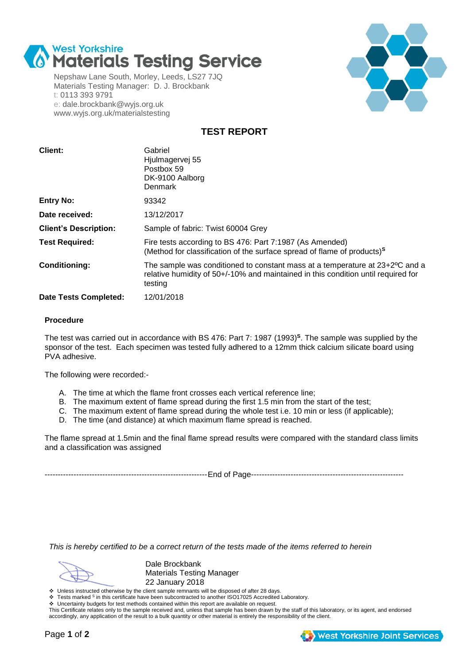

Nepshaw Lane South, Morley, Leeds, LS27 7JQ Materials Testing Manager: D. J. Brockbank t: 0113 393 9791 e: dale.brockbank@wyjs.org.uk www.wyjs.org.uk/materialstesting



**TEST REPORT**

| Client:                      | Gabriel<br>Hjulmagervej 55<br>Postbox 59<br>DK-9100 Aalborg<br>Denmark                                                                                                       |
|------------------------------|------------------------------------------------------------------------------------------------------------------------------------------------------------------------------|
| <b>Entry No:</b>             | 93342                                                                                                                                                                        |
| Date received:               | 13/12/2017                                                                                                                                                                   |
| <b>Client's Description:</b> | Sample of fabric: Twist 60004 Grey                                                                                                                                           |
| <b>Test Required:</b>        | Fire tests according to BS 476: Part 7:1987 (As Amended)<br>(Method for classification of the surface spread of flame of products) <sup>s</sup>                              |
| <b>Conditioning:</b>         | The sample was conditioned to constant mass at a temperature at 23+2°C and a<br>relative humidity of 50+/-10% and maintained in this condition until required for<br>testing |
| <b>Date Tests Completed:</b> | 12/01/2018                                                                                                                                                                   |

### **Procedure**

The test was carried out in accordance with BS 476: Part 7: 1987 (1993)**<sup>S</sup>** . The sample was supplied by the sponsor of the test. Each specimen was tested fully adhered to a 12mm thick calcium silicate board using PVA adhesive.

The following were recorded:-

- A. The time at which the flame front crosses each vertical reference line;
- B. The maximum extent of flame spread during the first 1.5 min from the start of the test;
- C. The maximum extent of flame spread during the whole test i.e. 10 min or less (if applicable);
- D. The time (and distance) at which maximum flame spread is reached.

The flame spread at 1.5min and the final flame spread results were compared with the standard class limits and a classification was assigned

--------------------------------------------------------------End of Page----------------------------------------------------------

*This is hereby certified to be a correct return of the tests made of the items referred to herein*

Dale Brockbank Materials Testing Manager 22 January 2018

22 January 2018<br>Unless instructed otherwise by the client sample remnants will be disposed of after 28 days.

❖ Tests marked <sup>S</sup> in this certificate have been subcontracted to another ISO17025 Accredited Laboratory.

Uncertainty budgets for test methods contained within this report are available on request.

This Certificate relates only to the sample received and, unless that sample has been drawn by the staff of this laboratory, or its agent, and endorsed accordingly, any application of the result to a bulk quantity or other material is entirely the responsibility of the client.